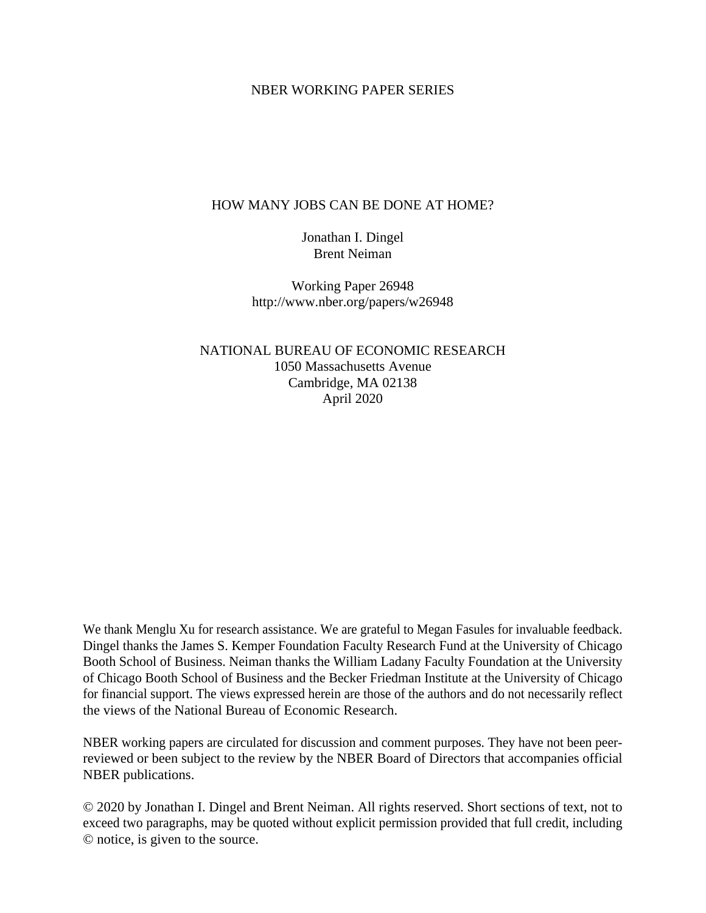#### NBER WORKING PAPER SERIES

#### HOW MANY JOBS CAN BE DONE AT HOME?

Jonathan I. Dingel Brent Neiman

Working Paper 26948 http://www.nber.org/papers/w26948

NATIONAL BUREAU OF ECONOMIC RESEARCH 1050 Massachusetts Avenue Cambridge, MA 02138 April 2020

We thank Menglu Xu for research assistance. We are grateful to Megan Fasules for invaluable feedback. Dingel thanks the James S. Kemper Foundation Faculty Research Fund at the University of Chicago Booth School of Business. Neiman thanks the William Ladany Faculty Foundation at the University of Chicago Booth School of Business and the Becker Friedman Institute at the University of Chicago for financial support. The views expressed herein are those of the authors and do not necessarily reflect the views of the National Bureau of Economic Research.

NBER working papers are circulated for discussion and comment purposes. They have not been peerreviewed or been subject to the review by the NBER Board of Directors that accompanies official NBER publications.

© 2020 by Jonathan I. Dingel and Brent Neiman. All rights reserved. Short sections of text, not to exceed two paragraphs, may be quoted without explicit permission provided that full credit, including © notice, is given to the source.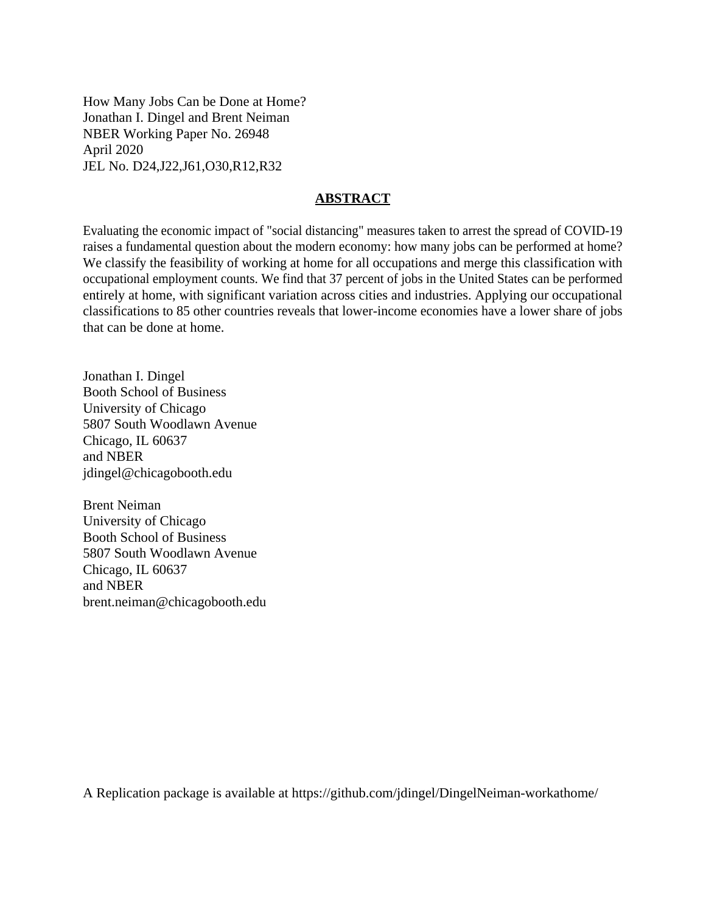How Many Jobs Can be Done at Home? Jonathan I. Dingel and Brent Neiman NBER Working Paper No. 26948 April 2020 JEL No. D24,J22,J61,O30,R12,R32

#### **ABSTRACT**

Evaluating the economic impact of "social distancing" measures taken to arrest the spread of COVID-19 raises a fundamental question about the modern economy: how many jobs can be performed at home? We classify the feasibility of working at home for all occupations and merge this classification with occupational employment counts. We find that 37 percent of jobs in the United States can be performed entirely at home, with significant variation across cities and industries. Applying our occupational classifications to 85 other countries reveals that lower-income economies have a lower share of jobs that can be done at home.

Jonathan I. Dingel Booth School of Business University of Chicago 5807 South Woodlawn Avenue Chicago, IL 60637 and NBER jdingel@chicagobooth.edu

Brent Neiman University of Chicago Booth School of Business 5807 South Woodlawn Avenue Chicago, IL 60637 and NBER brent.neiman@chicagobooth.edu

A Replication package is available at https://github.com/jdingel/DingelNeiman-workathome/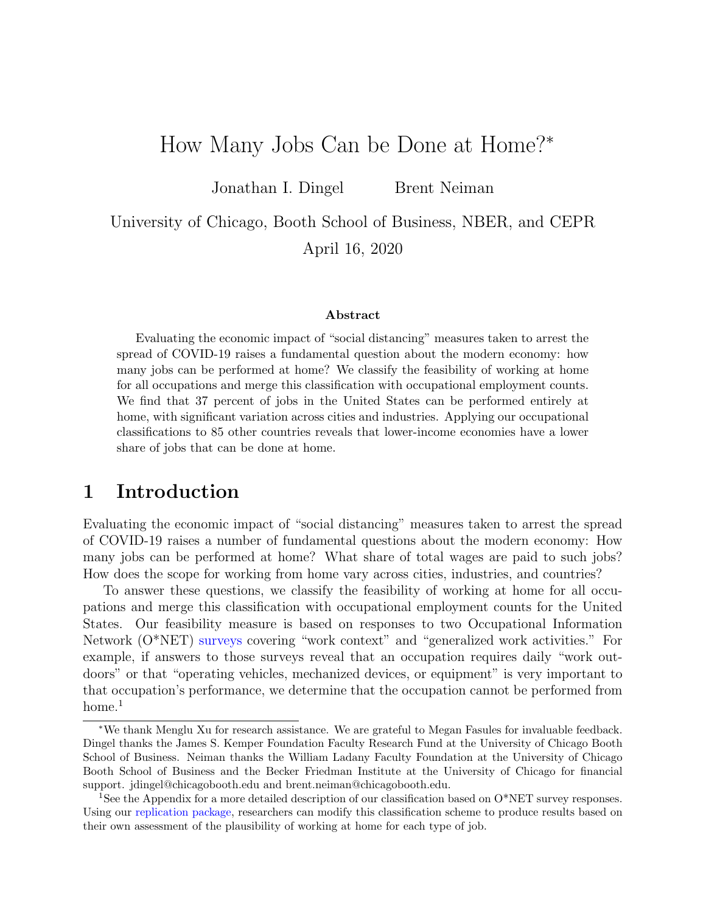# How Many Jobs Can be Done at Home?<sup>∗</sup>

Jonathan I. Dingel Brent Neiman

University of Chicago, Booth School of Business, NBER, and CEPR April 16, 2020

#### Abstract

Evaluating the economic impact of "social distancing" measures taken to arrest the spread of COVID-19 raises a fundamental question about the modern economy: how many jobs can be performed at home? We classify the feasibility of working at home for all occupations and merge this classification with occupational employment counts. We find that 37 percent of jobs in the United States can be performed entirely at home, with significant variation across cities and industries. Applying our occupational classifications to 85 other countries reveals that lower-income economies have a lower share of jobs that can be done at home.

## 1 Introduction

Evaluating the economic impact of "social distancing" measures taken to arrest the spread of COVID-19 raises a number of fundamental questions about the modern economy: How many jobs can be performed at home? What share of total wages are paid to such jobs? How does the scope for working from home vary across cities, industries, and countries?

To answer these questions, we classify the feasibility of working at home for all occupations and merge this classification with occupational employment counts for the United States. Our feasibility measure is based on responses to two Occupational Information Network (O\*NET) [surveys](https://www.onetcenter.org/questionnaires.html) covering "work context" and "generalized work activities." For example, if answers to those surveys reveal that an occupation requires daily "work outdoors" or that "operating vehicles, mechanized devices, or equipment" is very important to that occupation's performance, we determine that the occupation cannot be performed from  $home.<sup>1</sup>$  $home.<sup>1</sup>$  $home.<sup>1</sup>$ 

<sup>∗</sup>We thank Menglu Xu for research assistance. We are grateful to Megan Fasules for invaluable feedback. Dingel thanks the James S. Kemper Foundation Faculty Research Fund at the University of Chicago Booth School of Business. Neiman thanks the William Ladany Faculty Foundation at the University of Chicago Booth School of Business and the Becker Friedman Institute at the University of Chicago for financial support. jdingel@chicagobooth.edu and brent.neiman@chicagobooth.edu.

<span id="page-2-0"></span><sup>&</sup>lt;sup>1</sup>See the Appendix for a more detailed description of our classification based on O\*NET survey responses. Using our [replication package,](https://github.com/jdingel/DingelNeiman-workathome) researchers can modify this classification scheme to produce results based on their own assessment of the plausibility of working at home for each type of job.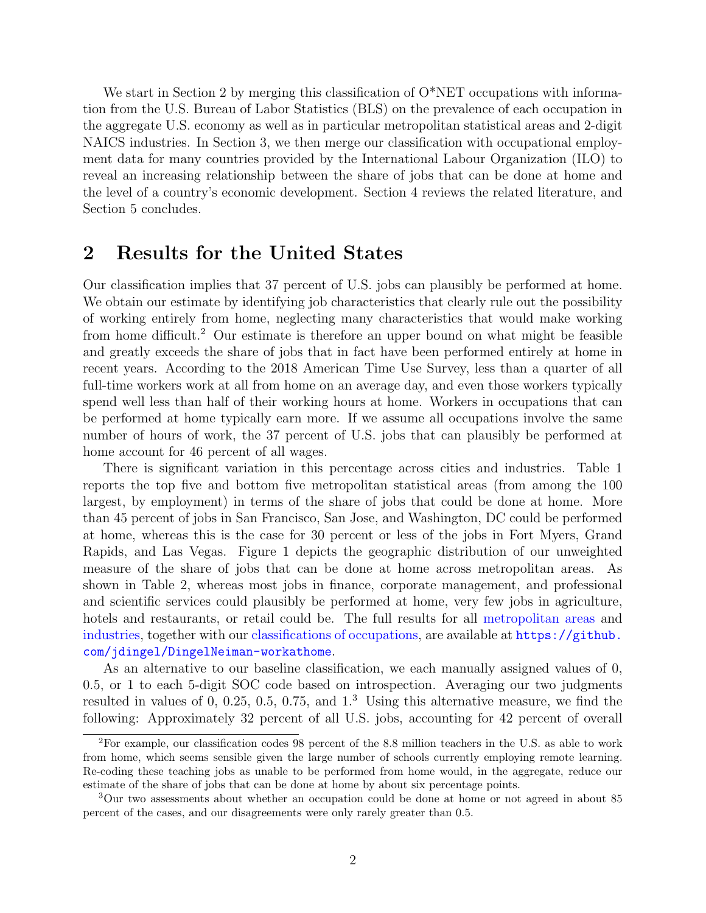We start in Section [2](#page-3-0) by merging this classification of  $O^*NET$  occupations with information from the U.S. Bureau of Labor Statistics (BLS) on the prevalence of each occupation in the aggregate U.S. economy as well as in particular metropolitan statistical areas and 2-digit NAICS industries. In Section [3,](#page-6-0) we then merge our classification with occupational employment data for many countries provided by the International Labour Organization (ILO) to reveal an increasing relationship between the share of jobs that can be done at home and the level of a country's economic development. Section [4](#page-7-0) reviews the related literature, and Section [5](#page-9-0) concludes.

## <span id="page-3-0"></span>2 Results for the United States

Our classification implies that 37 percent of U.S. jobs can plausibly be performed at home. We obtain our estimate by identifying job characteristics that clearly rule out the possibility of working entirely from home, neglecting many characteristics that would make working from home difficult.[2](#page-3-1) Our estimate is therefore an upper bound on what might be feasible and greatly exceeds the share of jobs that in fact have been performed entirely at home in recent years. According to the 2018 American Time Use Survey, less than a quarter of all full-time workers work at all from home on an average day, and even those workers typically spend well less than half of their working hours at home. Workers in occupations that can be performed at home typically earn more. If we assume all occupations involve the same number of hours of work, the 37 percent of U.S. jobs that can plausibly be performed at home account for 46 percent of all wages.

There is significant variation in this percentage across cities and industries. Table [1](#page-4-0) reports the top five and bottom five metropolitan statistical areas (from among the 100 largest, by employment) in terms of the share of jobs that could be done at home. More than 45 percent of jobs in San Francisco, San Jose, and Washington, DC could be performed at home, whereas this is the case for 30 percent or less of the jobs in Fort Myers, Grand Rapids, and Las Vegas. Figure [1](#page-4-1) depicts the geographic distribution of our unweighted measure of the share of jobs that can be done at home across metropolitan areas. As shown in Table [2,](#page-5-0) whereas most jobs in finance, corporate management, and professional and scientific services could plausibly be performed at home, very few jobs in agriculture, hotels and restaurants, or retail could be. The full results for all [metropolitan areas](https://raw.githubusercontent.com/jdingel/DingelNeiman-workathome/master/MSA_measures/output/MSA_workfromhome.csv) and [industries,](https://raw.githubusercontent.com/jdingel/DingelNeiman-workathome/master/national_measures/output/NAICS_workfromhome.csv) together with our [classifications of occupations,](https://raw.githubusercontent.com/jdingel/DingelNeiman-workathome/master/occ_onet_scores/output/occupations_workathome.csv) are available at [https://github.](https://github.com/jdingel/DingelNeiman-workathome) [com/jdingel/DingelNeiman-workathome](https://github.com/jdingel/DingelNeiman-workathome).

As an alternative to our baseline classification, we each manually assigned values of 0, 0.5, or 1 to each 5-digit SOC code based on introspection. Averaging our two judgments resulted in values of 0, 0.25, 0.5, 0.75, and  $1<sup>3</sup>$  $1<sup>3</sup>$  $1<sup>3</sup>$  Using this alternative measure, we find the following: Approximately 32 percent of all U.S. jobs, accounting for 42 percent of overall

<span id="page-3-1"></span><sup>2</sup>For example, our classification codes 98 percent of the 8.8 million teachers in the U.S. as able to work from home, which seems sensible given the large number of schools currently employing remote learning. Re-coding these teaching jobs as unable to be performed from home would, in the aggregate, reduce our estimate of the share of jobs that can be done at home by about six percentage points.

<span id="page-3-2"></span><sup>3</sup>Our two assessments about whether an occupation could be done at home or not agreed in about 85 percent of the cases, and our disagreements were only rarely greater than 0.5.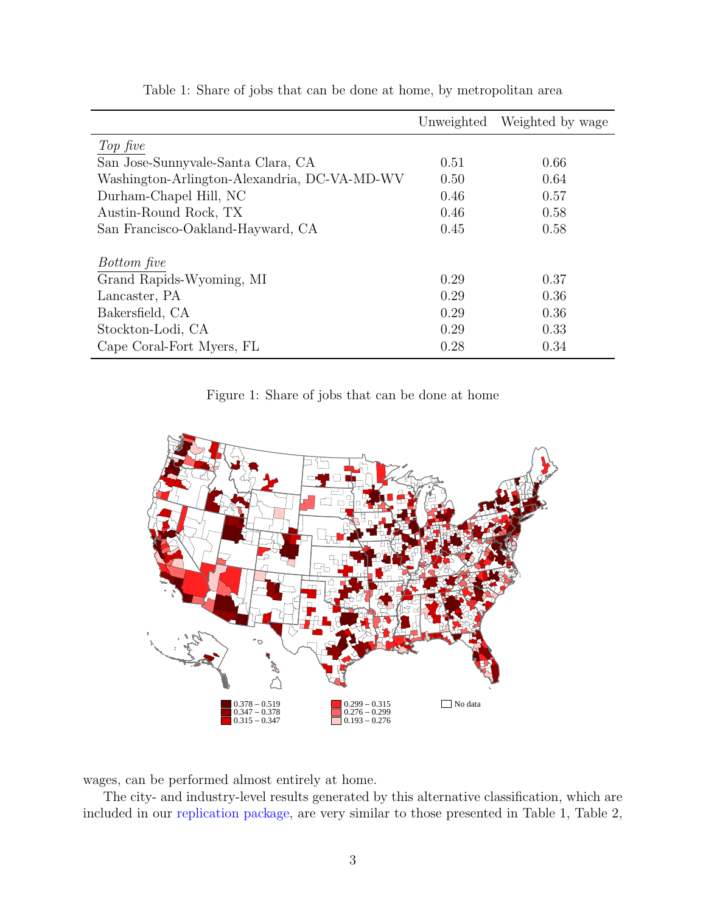<span id="page-4-0"></span>

|                                              | Unweighted | Weighted by wage |
|----------------------------------------------|------------|------------------|
| Top five                                     |            |                  |
| San Jose-Sunnyvale-Santa Clara, CA           | 0.51       | 0.66             |
| Washington-Arlington-Alexandria, DC-VA-MD-WV | 0.50       | 0.64             |
| Durham-Chapel Hill, NC                       | 0.46       | 0.57             |
| Austin-Round Rock, TX                        | 0.46       | 0.58             |
| San Francisco-Oakland-Hayward, CA            | 0.45       | 0.58             |
| Bottom five                                  |            |                  |
| Grand Rapids-Wyoming, MI                     | 0.29       | 0.37             |
| Lancaster, PA                                | 0.29       | 0.36             |
| Bakersfield, CA                              | 0.29       | 0.36             |
| Stockton-Lodi, CA                            | 0.29       | 0.33             |
| Cape Coral-Fort Myers, FL                    | 0.28       | 0.34             |

Table 1: Share of jobs that can be done at home, by metropolitan area

Figure 1: Share of jobs that can be done at home

<span id="page-4-1"></span>

wages, can be performed almost entirely at home.

The city- and industry-level results generated by this alternative classification, which are included in our [replication package,](https://github.com/jdingel/DingelNeiman-workathome) are very similar to those presented in Table [1,](#page-4-0) Table [2,](#page-5-0)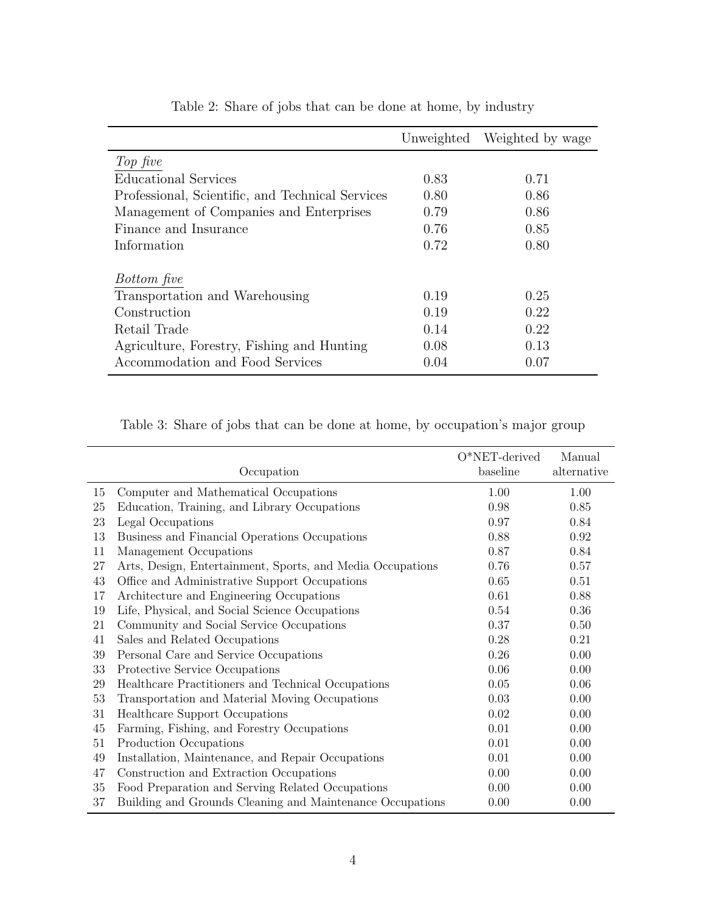<span id="page-5-0"></span>

|                                                  |      | Unweighted Weighted by wage |
|--------------------------------------------------|------|-----------------------------|
| Top five                                         |      |                             |
| Educational Services                             | 0.83 | 0.71                        |
| Professional, Scientific, and Technical Services | 0.80 | 0.86                        |
| Management of Companies and Enterprises          | 0.79 | 0.86                        |
| Finance and Insurance                            | 0.76 | 0.85                        |
| Information                                      | 0.72 | 0.80                        |
|                                                  |      |                             |
| <i>Bottom five</i>                               |      |                             |
| Transportation and Warehousing                   | 0.19 | 0.25                        |
| Construction                                     | 0.19 | 0.22                        |
| Retail Trade                                     | 0.14 | 0.22                        |
| Agriculture, Forestry, Fishing and Hunting       | 0.08 | 0.13                        |
| Accommodation and Food Services                  | 0.04 | 0.07                        |

Table 2: Share of jobs that can be done at home, by industry

<span id="page-5-1"></span>Table 3: Share of jobs that can be done at home, by occupation's major group

|        |                                                            | $O*NET$ -derived | Manual      |
|--------|------------------------------------------------------------|------------------|-------------|
|        | Occupation                                                 | baseline         | alternative |
| 15     | Computer and Mathematical Occupations                      | 1.00             | 1.00        |
| $25\,$ | Education, Training, and Library Occupations               | 0.98             | 0.85        |
| 23     | Legal Occupations                                          | 0.97             | 0.84        |
| 13     | Business and Financial Operations Occupations              | 0.88             | 0.92        |
| 11     | Management Occupations                                     | 0.87             | 0.84        |
| 27     | Arts, Design, Entertainment, Sports, and Media Occupations | 0.76             | 0.57        |
| 43     | Office and Administrative Support Occupations              | 0.65             | 0.51        |
| 17     | Architecture and Engineering Occupations                   | 0.61             | 0.88        |
| 19     | Life, Physical, and Social Science Occupations             | 0.54             | 0.36        |
| 21     | Community and Social Service Occupations                   | 0.37             | 0.50        |
| 41     | Sales and Related Occupations                              | 0.28             | 0.21        |
| 39     | Personal Care and Service Occupations                      | 0.26             | 0.00        |
| 33     | Protective Service Occupations                             | 0.06             | 0.00        |
| 29     | Healthcare Practitioners and Technical Occupations         | 0.05             | 0.06        |
| 53     | Transportation and Material Moving Occupations             | 0.03             | 0.00        |
| 31     | Healthcare Support Occupations                             | 0.02             | 0.00        |
| 45     | Farming, Fishing, and Forestry Occupations                 | 0.01             | 0.00        |
| 51     | Production Occupations                                     | 0.01             | 0.00        |
| 49     | Installation, Maintenance, and Repair Occupations          | 0.01             | 0.00        |
| 47     | Construction and Extraction Occupations                    | 0.00             | 0.00        |
| 35     | Food Preparation and Serving Related Occupations           | 0.00             | 0.00        |
| 37     | Building and Grounds Cleaning and Maintenance Occupations  | 0.00             | 0.00        |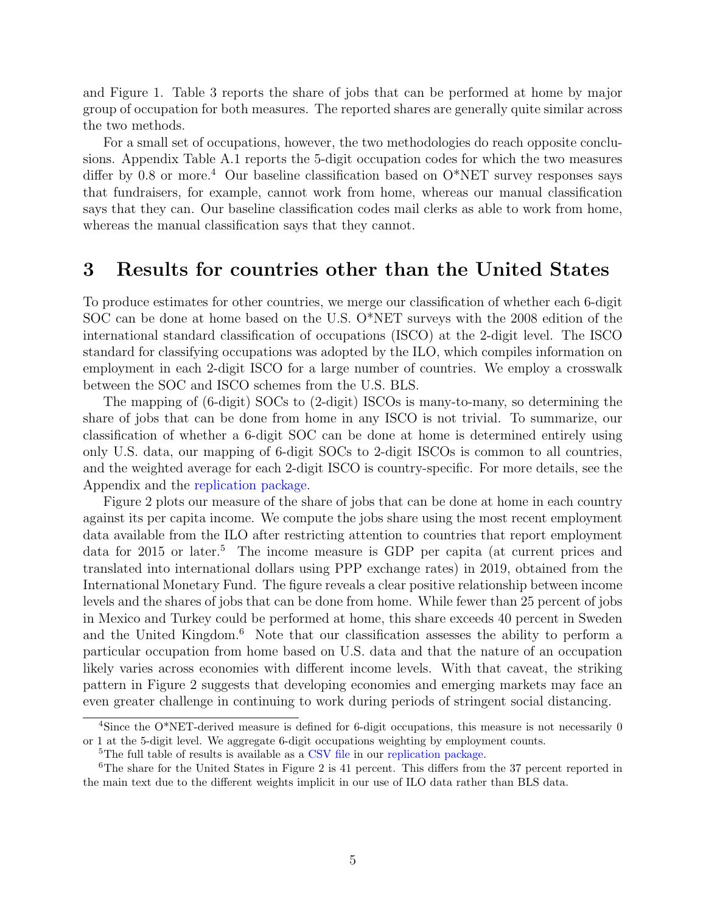and Figure [1.](#page-4-1) Table [3](#page-5-1) reports the share of jobs that can be performed at home by major group of occupation for both measures. The reported shares are generally quite similar across the two methods.

For a small set of occupations, however, the two methodologies do reach opposite conclusions. Appendix Table [A.1](#page-12-0) reports the 5-digit occupation codes for which the two measures differ by 0.8 or more.<sup>[4](#page-6-1)</sup> Our baseline classification based on  $O^*NET$  survey responses says that fundraisers, for example, cannot work from home, whereas our manual classification says that they can. Our baseline classification codes mail clerks as able to work from home, whereas the manual classification says that they cannot.

#### <span id="page-6-0"></span>3 Results for countries other than the United States

To produce estimates for other countries, we merge our classification of whether each 6-digit SOC can be done at home based on the U.S. O\*NET surveys with the 2008 edition of the international standard classification of occupations (ISCO) at the 2-digit level. The ISCO standard for classifying occupations was adopted by the ILO, which compiles information on employment in each 2-digit ISCO for a large number of countries. We employ a crosswalk between the SOC and ISCO schemes from the U.S. BLS.

The mapping of (6-digit) SOCs to (2-digit) ISCOs is many-to-many, so determining the share of jobs that can be done from home in any ISCO is not trivial. To summarize, our classification of whether a 6-digit SOC can be done at home is determined entirely using only U.S. data, our mapping of 6-digit SOCs to 2-digit ISCOs is common to all countries, and the weighted average for each 2-digit ISCO is country-specific. For more details, see the Appendix and the [replication package.](https://github.com/jdingel/DingelNeiman-workathome)

Figure [2](#page-7-1) plots our measure of the share of jobs that can be done at home in each country against its per capita income. We compute the jobs share using the most recent employment data available from the ILO after restricting attention to countries that report employment data for 201[5](#page-6-2) or later.<sup>5</sup> The income measure is GDP per capita (at current prices and translated into international dollars using PPP exchange rates) in 2019, obtained from the International Monetary Fund. The figure reveals a clear positive relationship between income levels and the shares of jobs that can be done from home. While fewer than 25 percent of jobs in Mexico and Turkey could be performed at home, this share exceeds 40 percent in Sweden and the United Kingdom.<sup>[6](#page-6-3)</sup> Note that our classification assesses the ability to perform a particular occupation from home based on U.S. data and that the nature of an occupation likely varies across economies with different income levels. With that caveat, the striking pattern in Figure [2](#page-7-1) suggests that developing economies and emerging markets may face an even greater challenge in continuing to work during periods of stringent social distancing.

<span id="page-6-1"></span><sup>&</sup>lt;sup>4</sup>Since the O<sup>\*</sup>NET-derived measure is defined for 6-digit occupations, this measure is not necessarily 0 or 1 at the 5-digit level. We aggregate 6-digit occupations weighting by employment counts.

<span id="page-6-3"></span><span id="page-6-2"></span><sup>&</sup>lt;sup>5</sup>The full table of results is available as a [CSV file](https://raw.githubusercontent.com/jdingel/DingelNeiman-workathome/master/country_correlates/output/country_workathome.csv) in our [replication package.](https://github.com/jdingel/DingelNeiman-workathome)

<sup>&</sup>lt;sup>6</sup>The share for the United States in Figure [2](#page-7-1) is 41 percent. This differs from the 37 percent reported in the main text due to the different weights implicit in our use of ILO data rather than BLS data.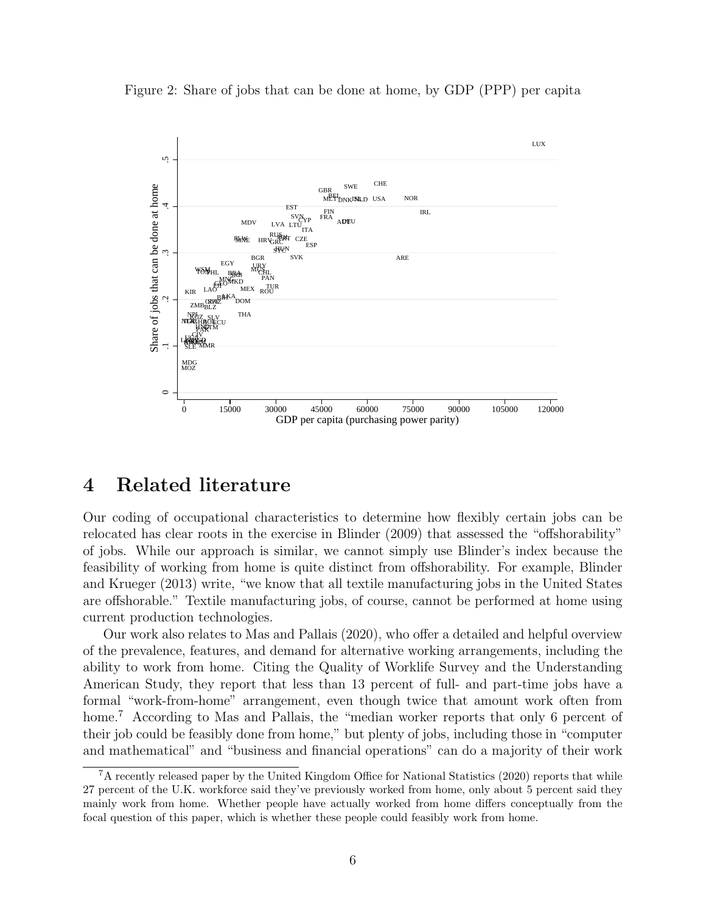<span id="page-7-1"></span>Figure 2: Share of jobs that can be done at home, by GDP (PPP) per capita



#### <span id="page-7-0"></span>4 Related literature

Our coding of occupational characteristics to determine how flexibly certain jobs can be relocated has clear roots in the exercise in [Blinder](#page-9-1) [\(2009\)](#page-9-1) that assessed the "offshorability" of jobs. While our approach is similar, we cannot simply use Blinder's index because the feasibility of working from home is quite distinct from offshorability. For example, [Blinder](#page-9-2) [and Krueger](#page-9-2) [\(2013\)](#page-9-2) write, "we know that all textile manufacturing jobs in the United States are offshorable." Textile manufacturing jobs, of course, cannot be performed at home using current production technologies.

Our work also relates to [Mas and Pallais](#page-9-3) [\(2020\)](#page-9-3), who offer a detailed and helpful overview of the prevalence, features, and demand for alternative working arrangements, including the ability to work from home. Citing the Quality of Worklife Survey and the Understanding American Study, they report that less than 13 percent of full- and part-time jobs have a formal "work-from-home" arrangement, even though twice that amount work often from home.<sup>[7](#page-7-2)</sup> According to [Mas and Pallais,](#page-9-3) the "median worker reports that only 6 percent of their job could be feasibly done from home," but plenty of jobs, including those in "computer and mathematical" and "business and financial operations" can do a majority of their work

<span id="page-7-2"></span><sup>&</sup>lt;sup>7</sup>A recently released paper by the [United Kingdom Office for National Statistics](#page-10-0) [\(2020\)](#page-10-0) reports that while 27 percent of the U.K. workforce said they've previously worked from home, only about 5 percent said they mainly work from home. Whether people have actually worked from home differs conceptually from the focal question of this paper, which is whether these people could feasibly work from home.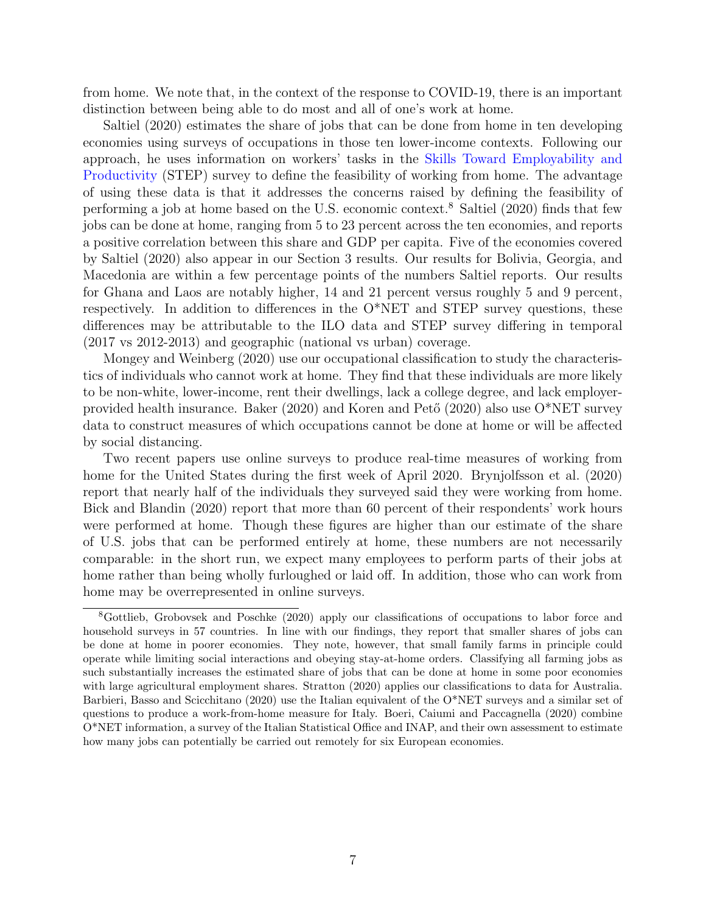from home. We note that, in the context of the response to COVID-19, there is an important distinction between being able to do most and all of one's work at home.

[Saltiel](#page-10-1) [\(2020\)](#page-10-1) estimates the share of jobs that can be done from home in ten developing economies using surveys of occupations in those ten lower-income contexts. Following our approach, he uses information on workers' tasks in the [Skills Toward Employability and](https://www.skillsforemployment.org/KSP/en/Details/?dn=WCMSTEST4_174856) [Productivity](https://www.skillsforemployment.org/KSP/en/Details/?dn=WCMSTEST4_174856) (STEP) survey to define the feasibility of working from home. The advantage of using these data is that it addresses the concerns raised by defining the feasibility of performing a job at home based on the U.S. economic context.<sup>[8](#page-8-0)</sup> [Saltiel](#page-10-1) [\(2020\)](#page-10-1) finds that few jobs can be done at home, ranging from 5 to 23 percent across the ten economies, and reports a positive correlation between this share and GDP per capita. Five of the economies covered by [Saltiel](#page-10-1) [\(2020\)](#page-10-1) also appear in our Section [3](#page-6-0) results. Our results for Bolivia, Georgia, and Macedonia are within a few percentage points of the numbers [Saltiel](#page-10-1) reports. Our results for Ghana and Laos are notably higher, 14 and 21 percent versus roughly 5 and 9 percent, respectively. In addition to differences in the O\*NET and STEP survey questions, these differences may be attributable to the ILO data and STEP survey differing in temporal (2017 vs 2012-2013) and geographic (national vs urban) coverage.

[Mongey and Weinberg](#page-10-2) [\(2020\)](#page-10-2) use our occupational classification to study the characteristics of individuals who cannot work at home. They find that these individuals are more likely to be non-white, lower-income, rent their dwellings, lack a college degree, and lack employer-provided health insurance. [Baker](#page-9-4) [\(2020\)](#page-9-5) and Koren and Pető (2020) also use  $O^*NET$  survey data to construct measures of which occupations cannot be done at home or will be affected by social distancing.

Two recent papers use online surveys to produce real-time measures of working from home for the United States during the first week of April 2020. [Brynjolfsson et al.](#page-9-6) [\(2020\)](#page-9-6) report that nearly half of the individuals they surveyed said they were working from home. [Bick and Blandin](#page-9-7) [\(2020\)](#page-9-7) report that more than 60 percent of their respondents' work hours were performed at home. Though these figures are higher than our estimate of the share of U.S. jobs that can be performed entirely at home, these numbers are not necessarily comparable: in the short run, we expect many employees to perform parts of their jobs at home rather than being wholly furloughed or laid off. In addition, those who can work from home may be overrepresented in online surveys.

<span id="page-8-0"></span><sup>8</sup>[Gottlieb, Grobovsek and Poschke](#page-9-8) [\(2020\)](#page-9-8) apply our classifications of occupations to labor force and household surveys in 57 countries. In line with our findings, they report that smaller shares of jobs can be done at home in poorer economies. They note, however, that small family farms in principle could operate while limiting social interactions and obeying stay-at-home orders. Classifying all farming jobs as such substantially increases the estimated share of jobs that can be done at home in some poor economies with large agricultural employment shares. [Stratton](#page-10-3) [\(2020\)](#page-10-3) applies our classifications to data for Australia. [Barbieri, Basso and Scicchitano](#page-9-9) [\(2020\)](#page-9-9) use the Italian equivalent of the O\*NET surveys and a similar set of questions to produce a work-from-home measure for Italy. [Boeri, Caiumi and Paccagnella](#page-9-10) [\(2020\)](#page-9-10) combine O\*NET information, a survey of the Italian Statistical Office and INAP, and their own assessment to estimate how many jobs can potentially be carried out remotely for six European economies.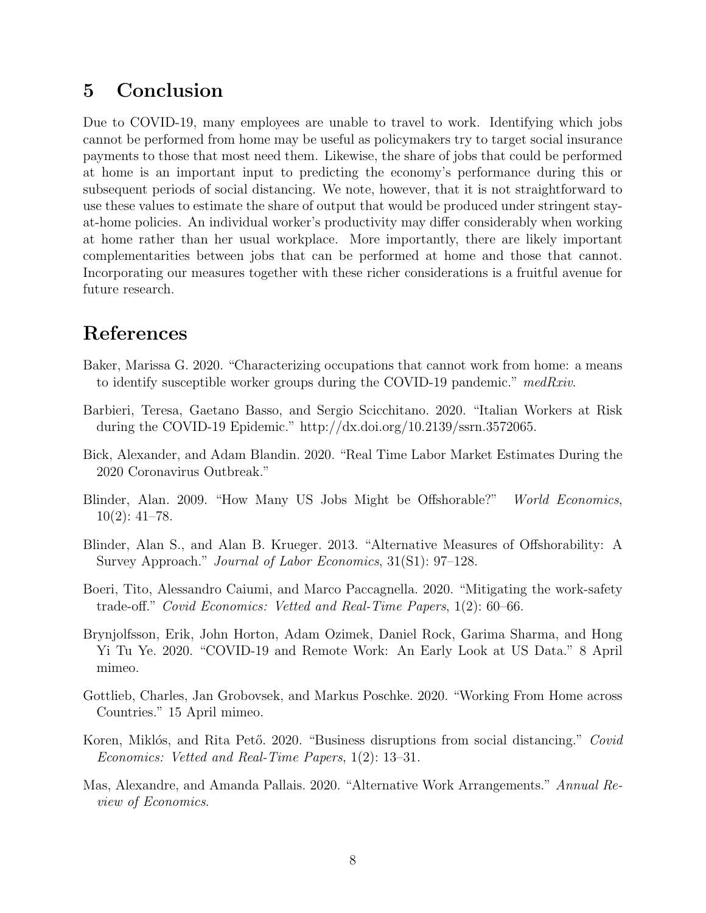## <span id="page-9-0"></span>5 Conclusion

Due to COVID-19, many employees are unable to travel to work. Identifying which jobs cannot be performed from home may be useful as policymakers try to target social insurance payments to those that most need them. Likewise, the share of jobs that could be performed at home is an important input to predicting the economy's performance during this or subsequent periods of social distancing. We note, however, that it is not straightforward to use these values to estimate the share of output that would be produced under stringent stayat-home policies. An individual worker's productivity may differ considerably when working at home rather than her usual workplace. More importantly, there are likely important complementarities between jobs that can be performed at home and those that cannot. Incorporating our measures together with these richer considerations is a fruitful avenue for future research.

## References

- <span id="page-9-4"></span>Baker, Marissa G. 2020. "Characterizing occupations that cannot work from home: a means to identify susceptible worker groups during the COVID-19 pandemic." medRxiv.
- <span id="page-9-9"></span>Barbieri, Teresa, Gaetano Basso, and Sergio Scicchitano. 2020. "Italian Workers at Risk during the COVID-19 Epidemic." http://dx.doi.org/10.2139/ssrn.3572065.
- <span id="page-9-7"></span>Bick, Alexander, and Adam Blandin. 2020. "Real Time Labor Market Estimates During the 2020 Coronavirus Outbreak."
- <span id="page-9-1"></span>Blinder, Alan. 2009. "How Many US Jobs Might be Offshorable?" World Economics,  $10(2): 41-78.$
- <span id="page-9-2"></span>Blinder, Alan S., and Alan B. Krueger. 2013. "Alternative Measures of Offshorability: A Survey Approach." *Journal of Labor Economics*,  $31(S1)$ : 97–128.
- <span id="page-9-10"></span>Boeri, Tito, Alessandro Caiumi, and Marco Paccagnella. 2020. "Mitigating the work-safety trade-off." Covid Economics: Vetted and Real-Time Papers, 1(2): 60–66.
- <span id="page-9-6"></span>Brynjolfsson, Erik, John Horton, Adam Ozimek, Daniel Rock, Garima Sharma, and Hong Yi Tu Ye. 2020. "COVID-19 and Remote Work: An Early Look at US Data." 8 April mimeo.
- <span id="page-9-8"></span>Gottlieb, Charles, Jan Grobovsek, and Markus Poschke. 2020. "Working From Home across Countries." 15 April mimeo.
- <span id="page-9-5"></span>Koren, Miklós, and Rita Pető. 2020. "Business disruptions from social distancing." Covid Economics: Vetted and Real-Time Papers, 1(2): 13–31.
- <span id="page-9-3"></span>Mas, Alexandre, and Amanda Pallais. 2020. "Alternative Work Arrangements." Annual Review of Economics.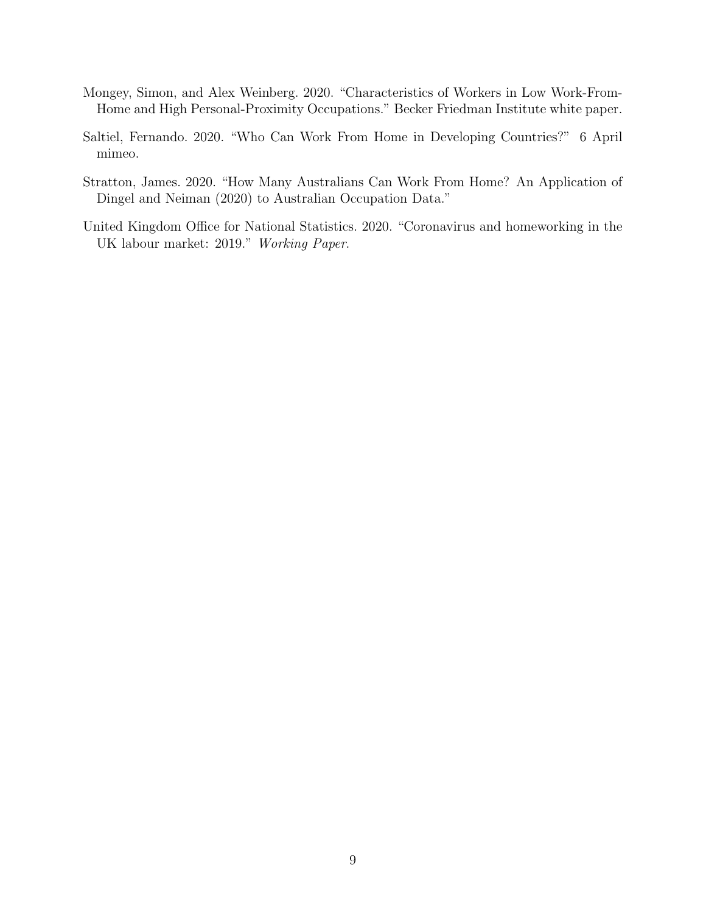- <span id="page-10-2"></span>Mongey, Simon, and Alex Weinberg. 2020. "Characteristics of Workers in Low Work-From-Home and High Personal-Proximity Occupations." Becker Friedman Institute white paper.
- <span id="page-10-1"></span>Saltiel, Fernando. 2020. "Who Can Work From Home in Developing Countries?" 6 April mimeo.
- <span id="page-10-3"></span>Stratton, James. 2020. "How Many Australians Can Work From Home? An Application of Dingel and Neiman (2020) to Australian Occupation Data."
- <span id="page-10-0"></span>United Kingdom Office for National Statistics. 2020. "Coronavirus and homeworking in the UK labour market: 2019." Working Paper.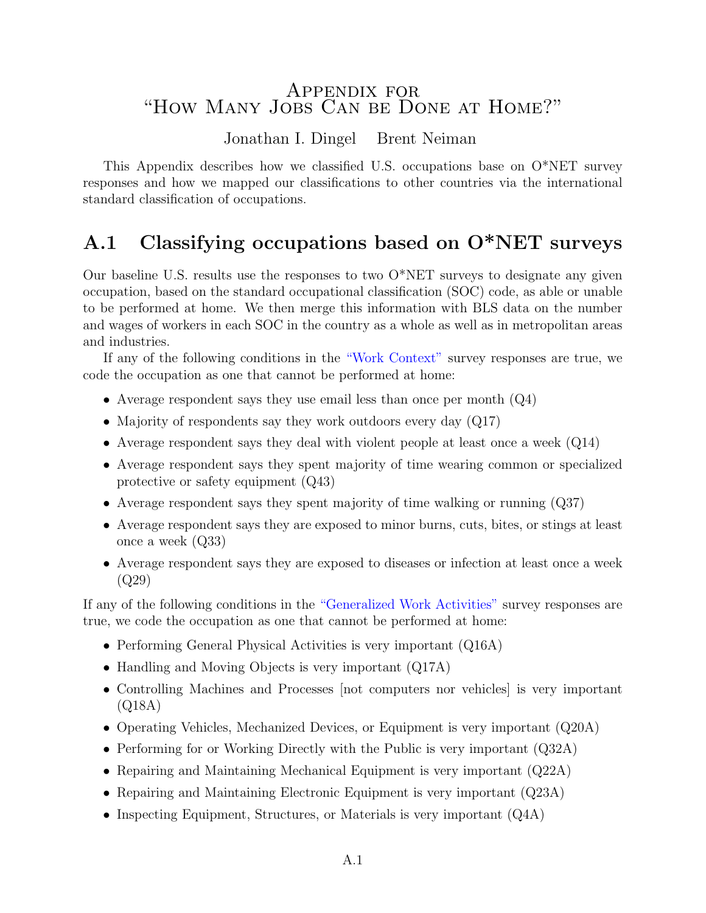## Appendix for "How Many Jobs Can be Done at Home?"

#### Jonathan I. Dingel Brent Neiman

This Appendix describes how we classified U.S. occupations base on O\*NET survey responses and how we mapped our classifications to other countries via the international standard classification of occupations.

# A.1 Classifying occupations based on O\*NET surveys

Our baseline U.S. results use the responses to two O\*NET surveys to designate any given occupation, based on the standard occupational classification (SOC) code, as able or unable to be performed at home. We then merge this information with BLS data on the number and wages of workers in each SOC in the country as a whole as well as in metropolitan areas and industries.

If any of the following conditions in the ["Work Context"](https://www.onetcenter.org/database.html#ctx) survey responses are true, we code the occupation as one that cannot be performed at home:

- Average respondent says they use email less than once per month  $(Q_4)$
- Majority of respondents say they work outdoors every day (Q17)
- Average respondent says they deal with violent people at least once a week  $(Q14)$
- Average respondent says they spent majority of time wearing common or specialized protective or safety equipment (Q43)
- Average respondent says they spent majority of time walking or running (Q37)
- Average respondent says they are exposed to minor burns, cuts, bites, or stings at least once a week (Q33)
- Average respondent says they are exposed to diseases or infection at least once a week (Q29)

If any of the following conditions in the ["Generalized Work Activities"](https://www.onetcenter.org/database.html#act) survey responses are true, we code the occupation as one that cannot be performed at home:

- Performing General Physical Activities is very important (Q16A)
- Handling and Moving Objects is very important (Q17A)
- Controlling Machines and Processes [not computers nor vehicles] is very important (Q18A)
- Operating Vehicles, Mechanized Devices, or Equipment is very important (Q20A)
- Performing for or Working Directly with the Public is very important (Q32A)
- Repairing and Maintaining Mechanical Equipment is very important (Q22A)
- Repairing and Maintaining Electronic Equipment is very important (Q23A)
- Inspecting Equipment, Structures, or Materials is very important (Q4A)